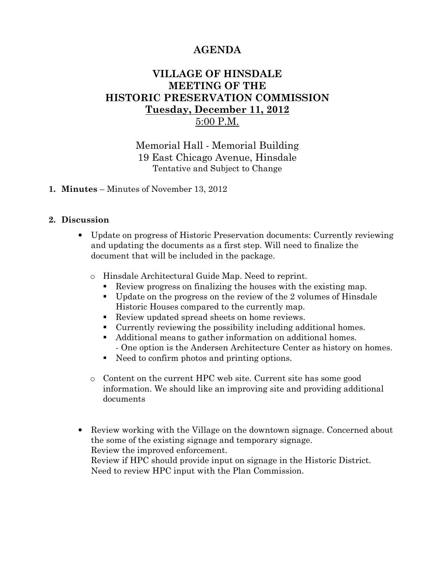# AGENDA

## VILLAGE OF HINSDALE MEETING OF THE HISTORIC PRESERVATION COMMISSION Tuesday, December 11, 2012 5:00 P.M.

Memorial Hall - Memorial Building 19 East Chicago Avenue, Hinsdale Tentative and Subject to Change

### 1. Minutes – Minutes of November 13, 2012

#### 2. Discussion

- Update on progress of Historic Preservation documents: Currently reviewing and updating the documents as a first step. Will need to finalize the document that will be included in the package.
	- o Hinsdale Architectural Guide Map. Need to reprint.
		- Review progress on finalizing the houses with the existing map.
		- Update on the progress on the review of the 2 volumes of Hinsdale Historic Houses compared to the currently map.
		- Review updated spread sheets on home reviews.
		- Currently reviewing the possibility including additional homes.
		- Additional means to gather information on additional homes. - One option is the Andersen Architecture Center as history on homes.
		- Need to confirm photos and printing options.
	- o Content on the current HPC web site. Current site has some good information. We should like an improving site and providing additional documents
- Review working with the Village on the downtown signage. Concerned about the some of the existing signage and temporary signage. Review the improved enforcement. Review if HPC should provide input on signage in the Historic District.

Need to review HPC input with the Plan Commission.